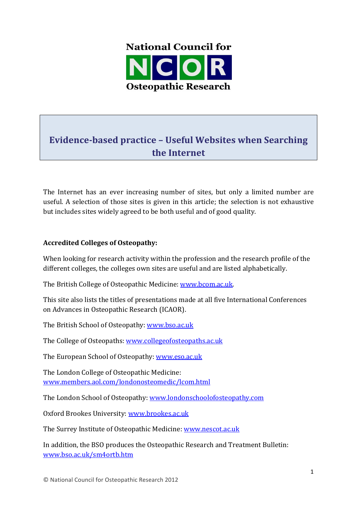

# **Evidence-based practice – Useful Websites when Searching the Internet**

The Internet has an ever increasing number of sites, but only a limited number are useful. A selection of those sites is given in this article; the selection is not exhaustive but includes sites widely agreed to be both useful and of good quality.

## **Accredited Colleges of Osteopathy:**

When looking for research activity within the profession and the research profile of the different colleges, the colleges own sites are useful and are listed alphabetically.

The British College of Osteopathic Medicine: www.bcom.ac.uk.

This site also lists the titles of presentations made at all five International Conferences on Advances in Osteopathic Research (ICAOR).

The British School of Osteopathy: www.bso.ac.uk

The College of Osteopaths: www.collegeofosteopaths.ac.uk

The European School of Osteopathy: www.eso.ac.uk

The London College of Osteopathic Medicine: www.members.aol.com/londonosteomedic/lcom.html 

The London School of Osteopathy: www.londonschoolofosteopathy.com

Oxford Brookes University: www.brookes.ac.uk

The Surrey Institute of Osteopathic Medicine: www.nescot.ac.uk

In addition, the BSO produces the Osteopathic Research and Treatment Bulletin: www.bso.ac.uk/sm4ortb.htm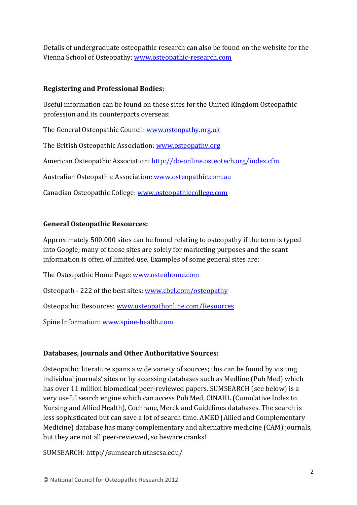Details of undergraduate osteopathic research can also be found on the website for the Vienna School of Osteopathy: www.osteopathic-research.com

#### **Registering and Professional Bodies:**

Useful information can be found on these sites for the United Kingdom Osteopathic profession and its counterparts overseas:

The General Osteopathic Council: www.osteopathy.org.uk

The British Osteopathic Association: www.osteopathy.org

American Osteopathic Association: http://do-online.osteotech.org/index.cfm

Australian Osteopathic Association: www.osteopathic.com.au

Canadian Osteopathic College: www.osteopathiecollege.com

#### **General Osteopathic Resources:**

Approximately 500,000 sites can be found relating to osteopathy if the term is typed into Google; many of those sites are solely for marketing purposes and the scant information is often of limited use. Examples of some general sites are:

The Osteopathic Home Page: www.osteohome.com

Osteopath - 222 of the best sites: www.cbel.com/osteopathy

Osteopathic Resources: www.osteopathonline.com/Resources 

Spine Information: www.spine-health.com

#### **Databases, Journals and Other Authoritative Sources:**

Osteopathic literature spans a wide variety of sources; this can be found by visiting individual journals' sites or by accessing databases such as Medline (Pub Med) which has over 11 million biomedical peer-reviewed papers. SUMSEARCH (see below) is a very useful search engine which can access Pub Med, CINAHL (Cumulative Index to Nursing and Allied Health), Cochrane, Merck and Guidelines databases. The search is less sophisticated but can save a lot of search time. AMED (Allied and Complementary Medicine) database has many complementary and alternative medicine (CAM) journals, but they are not all peer-reviewed, so beware cranks!

SUMSEARCH: http://sumsearch.uthscsa.edu/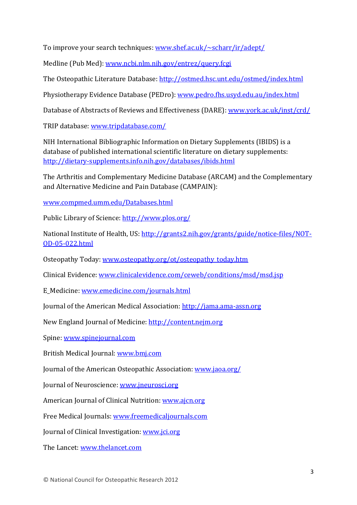To improve your search techniques: www.shef.ac.uk/~scharr/ir/adept/

Medline (Pub Med): www.ncbi.nlm.nih.gov/entrez/query.fcgi

The Osteopathic Literature Database: http://ostmed.hsc.unt.edu/ostmed/index.html

Physiotherapy Evidence Database (PEDro): www.pedro.fhs.usyd.edu.au/index.html

Database of Abstracts of Reviews and Effectiveness (DARE): www.york.ac.uk/inst/crd/

TRIP database: www.tripdatabase.com/

NIH International Bibliographic Information on Dietary Supplements (IBIDS) is a database of published international scientific literature on dietary supplements: http://dietary-supplements.info.nih.gov/databases/ibids.html 

The Arthritis and Complementary Medicine Database (ARCAM) and the Complementary and Alternative Medicine and Pain Database (CAMPAIN):

www.compmed.umm.edu/Databases.html 

Public Library of Science: http://www.plos.org/

National Institute of Health, US: http://grants2.nih.gov/grants/guide/notice-files/NOT-OD-05-022.html 

Osteopathy Today: www.osteopathy.org/ot/osteopathy\_today.htm

Clinical Evidence: www.clinicalevidence.com/ceweb/conditions/msd/msd.jsp

E\_Medicine: www.emedicine.com/journals.html

Journal of the American Medical Association: http://jama.ama-assn.org

New England Journal of Medicine: http://content.nejm.org

Spine: www.spinejournal.com 

British Medical Journal: www.bmj.com

Journal of the American Osteopathic Association: www.jaoa.org/

Journal of Neuroscience: www.jneurosci.org

American Journal of Clinical Nutrition: www.ajcn.org

Free Medical Journals: www.freemedicaljournals.com

Journal of Clinical Investigation: www.jci.org

The Lancet: www.thelancet.com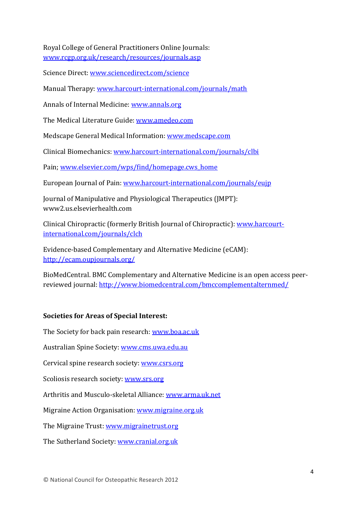Royal College of General Practitioners Online Journals: www.rcgp.org.uk/research/resources/journals.asp 

Science Direct: www.sciencedirect.com/science

Manual Therapy: www.harcourt-international.com/journals/math

Annals of Internal Medicine: www.annals.org

The Medical Literature Guide: www.amedeo.com

Medscape General Medical Information: www.medscape.com

Clinical Biomechanics: www.harcourt-international.com/journals/clbi

Pain; www.elsevier.com/wps/find/homepage.cws home

European Journal of Pain: www.harcourt-international.com/journals/eujp

Journal of Manipulative and Physiological Therapeutics (JMPT): www2.us.elsevierhealth.com 

Clinical Chiropractic (formerly British Journal of Chiropractic): www.harcourtinternational.com/journals/clch 

Evidence-based Complementary and Alternative Medicine (eCAM): http://ecam.oupjournals.org/ 

BioMedCentral. BMC Complementary and Alternative Medicine is an open access peerreviewed journal: http://www.biomedcentral.com/bmccomplementalternmed/

#### **Societies for Areas of Special Interest:**

The Society for back pain research: www.boa.ac.uk

Australian Spine Society: www.cms.uwa.edu.au

Cervical spine research society: <u>www.csrs.org</u>

Scoliosis research society: www.srs.org

Arthritis and Musculo-skeletal Alliance: www.arma.uk.net

Migraine Action Organisation: www.migraine.org.uk

The Migraine Trust: www.migrainetrust.org

The Sutherland Society: www.cranial.org.uk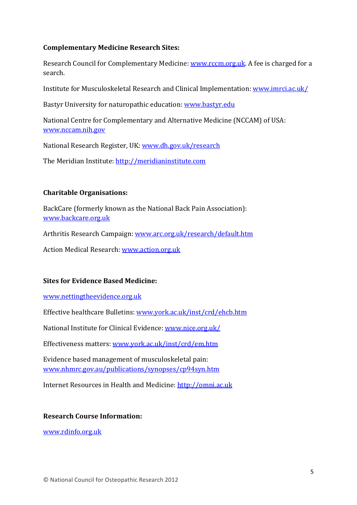#### **Complementary Medicine Research Sites:**

Research Council for Complementary Medicine: www.rccm.org.uk. A fee is charged for a search. 

Institute for Musculoskeletal Research and Clinical Implementation: www.imrci.ac.uk/

Bastyr University for naturopathic education: www.bastyr.edu

National Centre for Complementary and Alternative Medicine (NCCAM) of USA: www.nccam.nih.gov 

National Research Register, UK: www.dh.gov.uk/research

The Meridian Institute: http://meridianinstitute.com

## **Charitable Organisations:**

BackCare (formerly known as the National Back Pain Association): www.backcare.org.uk 

Arthritis Research Campaign: www.arc.org.uk/research/default.htm

Action Medical Research: www.action.org.uk

## **Sites for Evidence Based Medicine:**

www.nettingtheevidence.org.uk 

Effective healthcare Bulletins: www.york.ac.uk/inst/crd/ehcb.htm

National Institute for Clinical Evidence: www.nice.org.uk/

Effectiveness matters: www.york.ac.uk/inst/crd/em.htm

Evidence based management of musculoskeletal pain: www.nhmrc.gov.au/publications/synopses/cp94syn.htm 

Internet Resources in Health and Medicine: http://omni.ac.uk

#### **Research Course Information:**

www.rdinfo.org.uk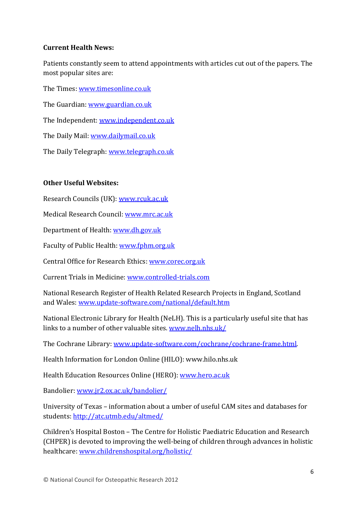#### **Current Health News:**

Patients constantly seem to attend appointments with articles cut out of the papers. The most popular sites are:

The Times: www.timesonline.co.uk

The Guardian: www.guardian.co.uk

The Independent: www.independent.co.uk

The Daily Mail: www.dailymail.co.uk

The Daily Telegraph: www.telegraph.co.uk

## **Other Useful Websites:**

Research Councils (UK): www.rcuk.ac.uk

Medical Research Council: www.mrc.ac.uk

Department of Health: www.dh.gov.uk

Faculty of Public Health: www.fphm.org.uk

Central Office for Research Ethics: www.corec.org.uk

Current Trials in Medicine: www.controlled-trials.com

National Research Register of Health Related Research Projects in England, Scotland and Wales: www.update-software.com/national/default.htm

National Electronic Library for Health (NeLH). This is a particularly useful site that has links to a number of other valuable sites. www.nelh.nhs.uk/

The Cochrane Library: www.update-software.com/cochrane/cochrane-frame.html.

Health Information for London Online (HILO): www.hilo.nhs.uk

Health Education Resources Online (HERO): www.hero.ac.uk

Bandolier: www.jr2.ox.ac.uk/bandolier/

University of Texas - information about a umber of useful CAM sites and databases for students: http://atc.utmb.edu/altmed/

Children's Hospital Boston - The Centre for Holistic Paediatric Education and Research (CHPER) is devoted to improving the well-being of children through advances in holistic healthcare: www.childrenshospital.org/holistic/